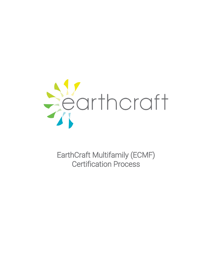

EarthCraft Multifamily (ECMF) Certification Process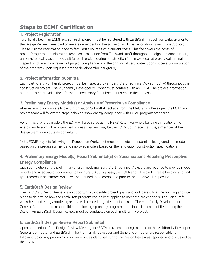# **Steps to ECMF Certification**

### 1. Project Registration

To officially begin an ECMF project, each project must be registered with EarthCraft through our website prior to the Design Review. Fees paid online are dependent on the scope of work (i.e. renovation vs new construction). Please visit the registration page to familiarize yourself with current costs. This fee covers the costs of project/program administration, technical assistance from EarthCraft staff throughout design and construction, one on-site quality assurance visit for each project during construction (this may occur at pre-drywall or final inspection phase), final review of project compliance, and the printing of certificates upon successful completion of the program (upon request from the developer/builder group).

# 2. Project Information Submittal

Each EarthCraft Multifamily project must be inspected by an EarthCraft Technical Advisor (ECTA) throughout the construction project. The Multifamily Developer or Owner must contract with an ECTA. The project information submittal step provides the information necessary for subsequent steps in the process.

### 3. Preliminary Energy Model(s) or Analysis of Prescriptive Compliance

After receiving a complete Project Information Submittal package from the Multifamily Developer, the ECTA and project team will follow the steps below to show energy compliance with ECMF program standards.

For unit level energy models the ECTA will also serve as the HERS Rater. For whole building simulations the energy modeler must be a qualified professional and may be the ECTA, Southface Institute, a member of the design team, or an outside consultant.

Note: ECMF projects following the Renovation Worksheet must complete and submit existing condition models based on the pre-assessment and improved models based on the renovation construction specifications.

### 4. Prelininary Energy Model(s) Report Submittal(s) or Specifications Reaching Prescriptive Energy Compliance

Upon completion of the preliminary energy modeling, EarthCraft Technical Advisors are required to provide model reports and associated documents to EarthCraft. At this phase, the ECTA should begin to create building and unit type records in salesforce, which will be required to be completed prior to the pre-drywall inspections.

# 5. EarthCraft Design Review

The EarthCraft Design Review is an opportunity to identify project goals and look carefully at the building and site plans to determine how the EarthCraft program can be best applied to meet the project goals. The EarthCraft worksheet and energy modeling results will be used to guide the discussion. The Multifamily Developer and General Contractor are responsible for following-up on any program compliance issues identified during the Design. An EarthCraft Design Review must be conducted on each multifamily project.

# 6. EarthCraft Design Review Report Submittal

Upon completion of the Design Review Meeting, the ECTA provides meeting minutes to the Multifamily Developer, General Contractor and EarthCraft. The Multifamily Developer and General Contractor are responsible for following-up on any program compliance issues identified during the Design Review as reported and discussed by the ECTA.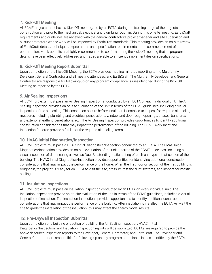# 7. Kick-Off Meeting

All ECMF projects must have a Kick-Off meeting, led by an ECTA, during the framing stage of the projects construction and prior to the mechanical, electrical and plumbing rough in. During this on-site meeting, EarthCraft requirements and guidelines are reviewed with the general contractor's project manager and site supervisor, and all subcontractors whose work will be impacted by EarthCraft standards. This meeting provides an on-site review of EarthCraft details, techniques, expectations and specification requirements at the commencement of construction. Mock up units are highly recommended to confirm during the kick-off meeting that all program details have been effectively addressed and trades are able to efficiently implement design specifications.

# 8. Kick-Off Meeting Report Submittal

Upon completion of the Kick-Off Meeting, the ECTA provides meeting minutes reporting to the Multifamily Developer, General Contractor and all meeting attendees, and EarthCraft. The Multifamily Developer and General Contractor are responsible for following-up on any program compliance issues identified during the Kick-Off Meeting as reported by the ECTA.

#### 9. Air Sealing Inspections

All ECMF projects must pass an Air Sealing Inspection(s) conducted by an ECTA on each individual unit. The Air Sealing Inspection provides an on-site evaluation of the unit in terms of the ECMF guidelines, including a visual inspection of the air sealing. This inspection occurs before insulation is installed to inspect for required air sealing measures including plumbing and electrical penetrations, window and door rough openings, chases, band area and exterior sheathing penetrations, etc. The Air Sealing Inspection provides opportunities to identify additional construction considerations that may impact the performance of the building. The ECMF Worksheet and Inspection Records provide a full list of the required air sealing items.

## 10. HVAC Initial Diagnostics/Inspection

All ECMF projects must pass a HVAC Initial Diagnostics/Inspection conducted by an ECTA. The HVAC Initial Diagnostics/Inspection provides an on-site evaluation of the unit in terms of the ECMF guidelines, including a visual inspection of duct sealing as well as Duct Blaster diagnostic testing of each unit type in that section of the building. The HVAC Initial Diagnostics/Inspection provides opportunities for identifying additional construction considerations that may impact the performance of the home. When the first floor or section of the first building is roughedin, the project is ready for an ECTA to visit the site, pressure test the duct systems, and inspect for mastic sealing.

### 11. Insulation Inspections

All ECMF projects must pass an Insulation Inspection conducted by an ECTA on every individual unit. The Insulation Inspections provide an on-site evaluation of the unit in terms of the ECMF guidelines, including a visual inspection of insulation. The Insulation Inspections provides opportunities to identify additional construction considerations that may impact the performance of the building. After insulation is installed the ECTA will visit the site to grade the installation of the insulation (this may affect the energy model results).

### 12. Pre-Drywall Inspection Submittal

Upon completion of a building or section of building, the Air Sealing Inspection, HVAC Initial Diagnostics/Inspection, and Insulation Inspection reports will be submitted. ECTAs are required to provide the above described inspection reports to the Developer, General Contractor, and EarthCraft. The Developer and General Contractor are responsible for following-up on any program compliance issues identified by the ECTA.